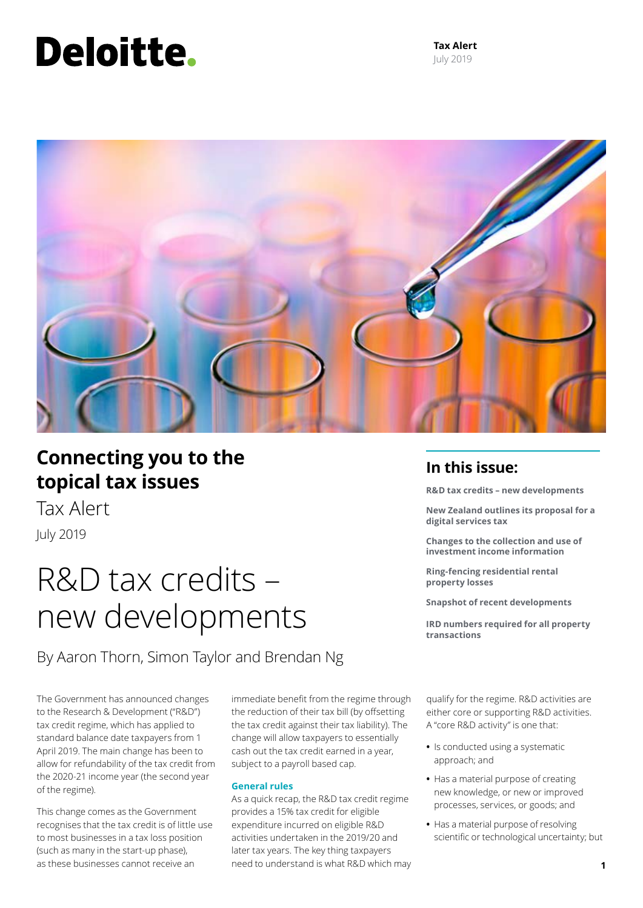# Deloitte.

**Tax Alert** July 2019



### **Connecting you to the topical tax issues**

Tax Alert July 2019

### R&D tax credits – new developments

By Aaron Thorn, Simon Taylor and Brendan Ng

The Government has announced changes to the Research & Development ("R&D") tax credit regime, which has applied to standard balance date taxpayers from 1 April 2019. The main change has been to allow for refundability of the tax credit from the 2020-21 income year (the second year of the regime).

This change comes as the Government recognises that the tax credit is of little use to most businesses in a tax loss position (such as many in the start-up phase), as these businesses cannot receive an

immediate benefit from the regime through the reduction of their tax bill (by offsetting the tax credit against their tax liability). The change will allow taxpayers to essentially cash out the tax credit earned in a year, subject to a payroll based cap.

### **General rules**

As a quick recap, the R&D tax credit regime provides a 15% tax credit for eligible expenditure incurred on eligible R&D activities undertaken in the 2019/20 and later tax years. The key thing taxpayers need to understand is what R&D which may

### **In this issue:**

**R&D tax credits – new developments** 

**New Zealand outlines its proposal for a digital services tax**

**Changes to the collection and use of investment income information**

**Ring-fencing residential rental property losses**

**Snapshot of recent developments**

**IRD numbers required for all property transactions**

qualify for the regime. R&D activities are either core or supporting R&D activities. A "core R&D activity" is one that:

- **•** Is conducted using a systematic approach; and
- **•** Has a material purpose of creating new knowledge, or new or improved processes, services, or goods; and
- **•** Has a material purpose of resolving scientific or technological uncertainty; but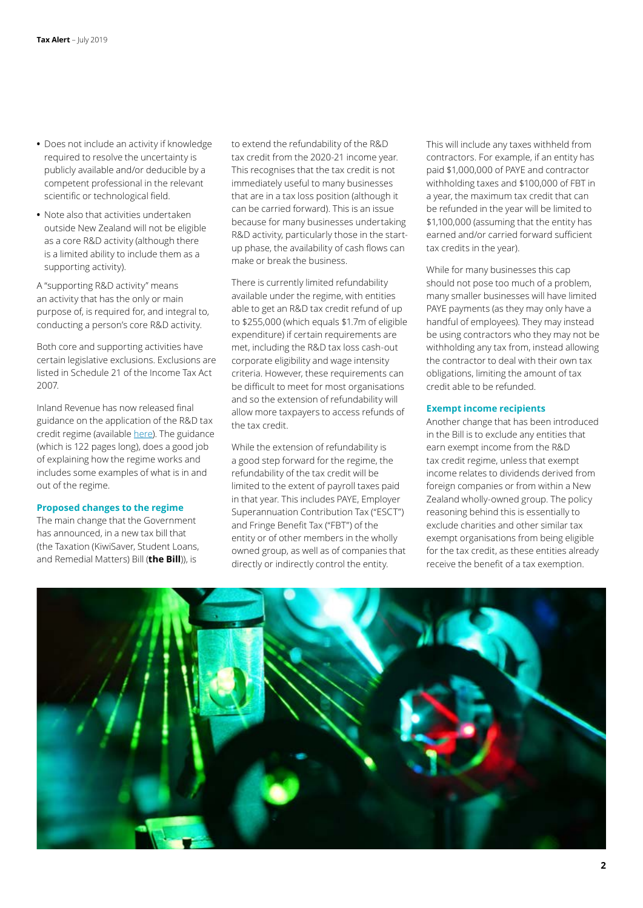- **•** Does not include an activity if knowledge required to resolve the uncertainty is publicly available and/or deducible by a competent professional in the relevant scientific or technological field.
- **•** Note also that activities undertaken outside New Zealand will not be eligible as a core R&D activity (although there is a limited ability to include them as a supporting activity).

A "supporting R&D activity" means an activity that has the only or main purpose of, is required for, and integral to, conducting a person's core R&D activity.

Both core and supporting activities have certain legislative exclusions. Exclusions are listed in Schedule 21 of the Income Tax Act 2007.

Inland Revenue has now released final guidance on the application of the R&D tax credit regime (available [here](https://www.classic.ird.govt.nz/resources/4/9/49b834b4-91c9-4d75-9c6e-0e811d6ad917/research-and-development-tax-credit-guidance.pdf)). The guidance (which is 122 pages long), does a good job of explaining how the regime works and includes some examples of what is in and out of the regime.

### **Proposed changes to the regime**

The main change that the Government has announced, in a new tax bill that (the Taxation (KiwiSaver, Student Loans, and Remedial Matters) Bill (**the Bill**)), is

to extend the refundability of the R&D tax credit from the 2020-21 income year. This recognises that the tax credit is not immediately useful to many businesses that are in a tax loss position (although it can be carried forward). This is an issue because for many businesses undertaking R&D activity, particularly those in the startup phase, the availability of cash flows can make or break the business.

There is currently limited refundability available under the regime, with entities able to get an R&D tax credit refund of up to \$255,000 (which equals \$1.7m of eligible expenditure) if certain requirements are met, including the R&D tax loss cash-out corporate eligibility and wage intensity criteria. However, these requirements can be difficult to meet for most organisations and so the extension of refundability will allow more taxpayers to access refunds of the tax credit.

While the extension of refundability is a good step forward for the regime, the refundability of the tax credit will be limited to the extent of payroll taxes paid in that year. This includes PAYE, Employer Superannuation Contribution Tax ("ESCT") and Fringe Benefit Tax ("FBT") of the entity or of other members in the wholly owned group, as well as of companies that directly or indirectly control the entity.

This will include any taxes withheld from contractors. For example, if an entity has paid \$1,000,000 of PAYE and contractor withholding taxes and \$100,000 of FBT in a year, the maximum tax credit that can be refunded in the year will be limited to \$1,100,000 (assuming that the entity has earned and/or carried forward sufficient tax credits in the year).

While for many businesses this cap should not pose too much of a problem, many smaller businesses will have limited PAYE payments (as they may only have a handful of employees). They may instead be using contractors who they may not be withholding any tax from, instead allowing the contractor to deal with their own tax obligations, limiting the amount of tax credit able to be refunded.

### **Exempt income recipients**

Another change that has been introduced in the Bill is to exclude any entities that earn exempt income from the R&D tax credit regime, unless that exempt income relates to dividends derived from foreign companies or from within a New Zealand wholly-owned group. The policy reasoning behind this is essentially to exclude charities and other similar tax exempt organisations from being eligible for the tax credit, as these entities already receive the benefit of a tax exemption.

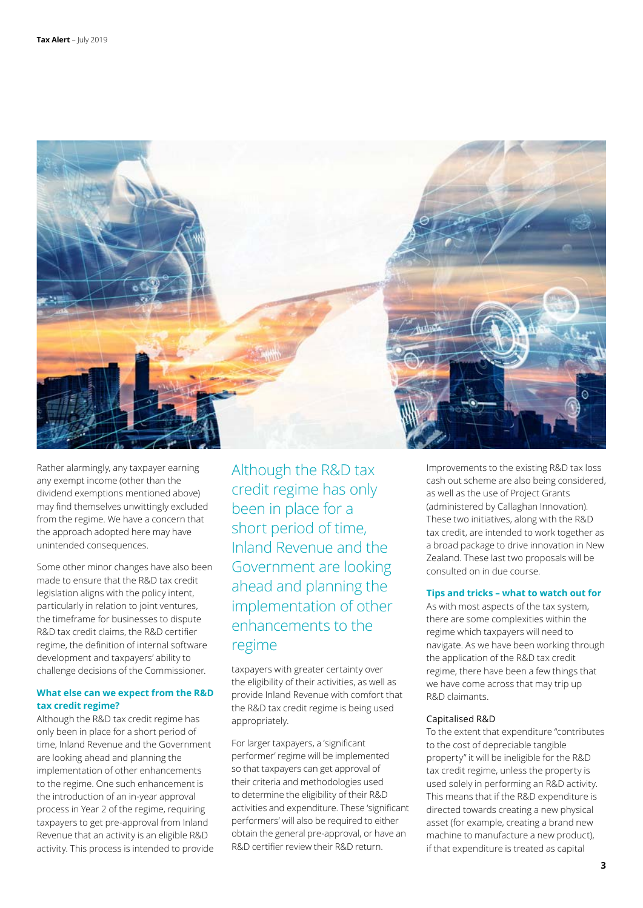

Rather alarmingly, any taxpayer earning any exempt income (other than the dividend exemptions mentioned above) may find themselves unwittingly excluded from the regime. We have a concern that the approach adopted here may have unintended consequences.

Some other minor changes have also been made to ensure that the R&D tax credit legislation aligns with the policy intent, particularly in relation to joint ventures, the timeframe for businesses to dispute R&D tax credit claims, the R&D certifier regime, the definition of internal software development and taxpayers' ability to challenge decisions of the Commissioner.

### **What else can we expect from the R&D tax credit regime?**

Although the R&D tax credit regime has only been in place for a short period of time, Inland Revenue and the Government are looking ahead and planning the implementation of other enhancements to the regime. One such enhancement is the introduction of an in-year approval process in Year 2 of the regime, requiring taxpayers to get pre-approval from Inland Revenue that an activity is an eligible R&D activity. This process is intended to provide Although the R&D tax credit regime has only been in place for a short period of time, Inland Revenue and the Government are looking ahead and planning the implementation of other enhancements to the regime

taxpayers with greater certainty over the eligibility of their activities, as well as provide Inland Revenue with comfort that the R&D tax credit regime is being used appropriately.

For larger taxpayers, a 'significant performer' regime will be implemented so that taxpayers can get approval of their criteria and methodologies used to determine the eligibility of their R&D activities and expenditure. These 'significant performers' will also be required to either obtain the general pre-approval, or have an R&D certifier review their R&D return.

Improvements to the existing R&D tax loss cash out scheme are also being considered, as well as the use of Project Grants (administered by Callaghan Innovation). These two initiatives, along with the R&D tax credit, are intended to work together as a broad package to drive innovation in New Zealand. These last two proposals will be consulted on in due course.

### **Tips and tricks – what to watch out for**

As with most aspects of the tax system, there are some complexities within the regime which taxpayers will need to navigate. As we have been working through the application of the R&D tax credit regime, there have been a few things that we have come across that may trip up R&D claimants.

### Capitalised R&D

To the extent that expenditure "contributes to the cost of depreciable tangible property" it will be ineligible for the R&D tax credit regime, unless the property is used solely in performing an R&D activity. This means that if the R&D expenditure is directed towards creating a new physical asset (for example, creating a brand new machine to manufacture a new product), if that expenditure is treated as capital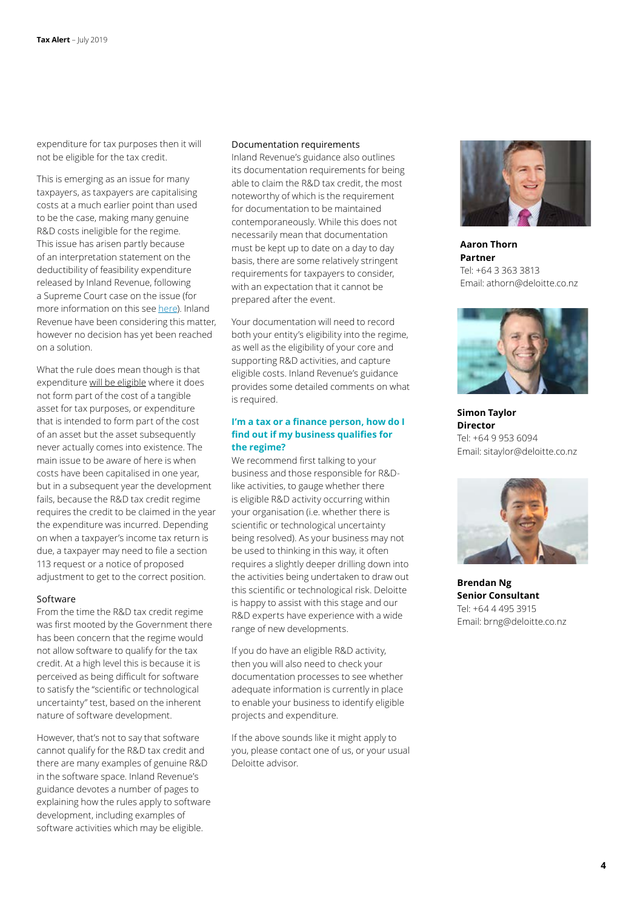expenditure for tax purposes then it will not be eligible for the tax credit.

This is emerging as an issue for many taxpayers, as taxpayers are capitalising costs at a much earlier point than used to be the case, making many genuine R&D costs ineligible for the regime. This issue has arisen partly because of an interpretation statement on the deductibility of feasibility expenditure released by Inland Revenue, following a Supreme Court case on the issue (for more information on this see [here](https://www2.deloitte.com/nz/en/pages/tax-alerts/articles/feasibility-expenditure-how-the-law-applies.html)). Inland Revenue have been considering this matter, however no decision has yet been reached on a solution.

What the rule does mean though is that expenditure will be eligible where it does not form part of the cost of a tangible asset for tax purposes, or expenditure that is intended to form part of the cost of an asset but the asset subsequently never actually comes into existence. The main issue to be aware of here is when costs have been capitalised in one year, but in a subsequent year the development fails, because the R&D tax credit regime requires the credit to be claimed in the year the expenditure was incurred. Depending on when a taxpayer's income tax return is due, a taxpayer may need to file a section 113 request or a notice of proposed adjustment to get to the correct position.

#### Software

From the time the R&D tax credit regime was first mooted by the Government there has been concern that the regime would not allow software to qualify for the tax credit. At a high level this is because it is perceived as being difficult for software to satisfy the "scientific or technological uncertainty" test, based on the inherent nature of software development.

However, that's not to say that software cannot qualify for the R&D tax credit and there are many examples of genuine R&D in the software space. Inland Revenue's guidance devotes a number of pages to explaining how the rules apply to software development, including examples of software activities which may be eligible.

#### Documentation requirements

Inland Revenue's guidance also outlines its documentation requirements for being able to claim the R&D tax credit, the most noteworthy of which is the requirement for documentation to be maintained contemporaneously. While this does not necessarily mean that documentation must be kept up to date on a day to day basis, there are some relatively stringent requirements for taxpayers to consider, with an expectation that it cannot be prepared after the event.

Your documentation will need to record both your entity's eligibility into the regime, as well as the eligibility of your core and supporting R&D activities, and capture eligible costs. Inland Revenue's guidance provides some detailed comments on what is required.

### **I'm a tax or a finance person, how do I find out if my business qualifies for the regime?**

We recommend first talking to your business and those responsible for R&Dlike activities, to gauge whether there is eligible R&D activity occurring within your organisation (i.e. whether there is scientific or technological uncertainty being resolved). As your business may not be used to thinking in this way, it often requires a slightly deeper drilling down into the activities being undertaken to draw out this scientific or technological risk. Deloitte is happy to assist with this stage and our R&D experts have experience with a wide range of new developments.

If you do have an eligible R&D activity, then you will also need to check your documentation processes to see whether adequate information is currently in place to enable your business to identify eligible projects and expenditure.

If the above sounds like it might apply to you, please contact one of us, or your usual Deloitte advisor.



**Aaron Thorn Partner** Tel: +64 3 363 3813 Email: athorn@deloitte.co.nz



**Simon Taylor Director** Tel: +64 9 953 6094 Email: sitaylor@deloitte.co.nz



**Brendan Ng Senior Consultant** Tel: +64 4 495 3915 Email: brng@deloitte.co.nz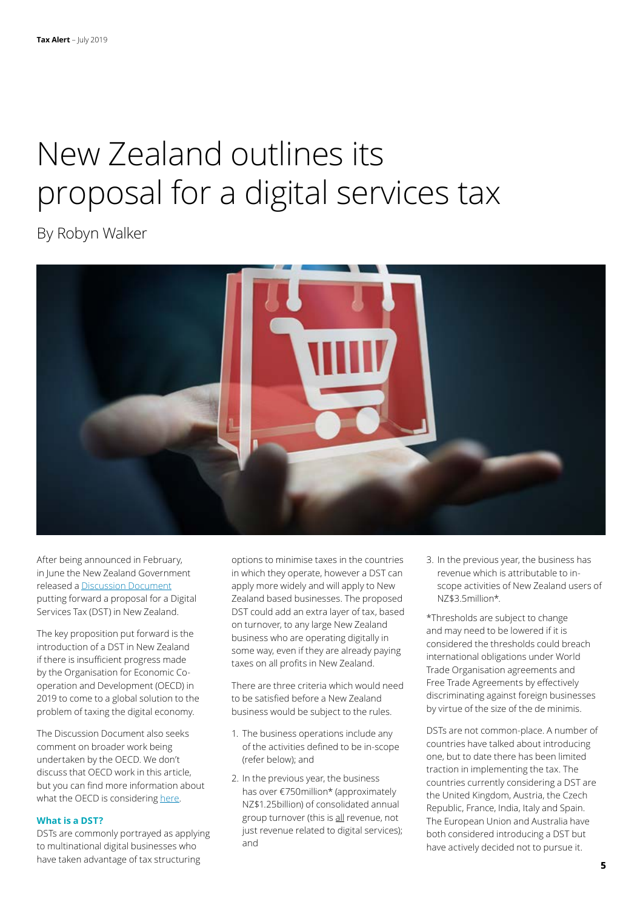# proposal for a digital services tax

By Robyn Walker



After being announced in February, in June the New Zealand Government released a Discussion Document putting forward a proposal for a Digital Services Tax (DST) in New Zealand.

The key proposition put forward is the introduction of a DST in New Zealand if there is insufficient progress made by the Organisation for Economic Cooperation and Development (OECD) in 2019 to come to a global solution to the problem of taxing the digital economy.

The Discussion Document also seeks comment on broader work being undertaken by the OECD. We don't discuss that OECD work in this article, but you can find more information about what the OECD is considering here.

### **What is a DST?**

DSTs are commonly portrayed as applying to multinational digital businesses who

options to minimise taxes in the countries in which they operate, however a DST can apply more widely and will apply to New Zealand based businesses. The proposed DST could add an extra layer of tax, based on turnover, to any large New Zealand business who are operating digitally in some way, even if they are already paying taxes on all profits in New Zealand.

There are three criteria which would need to be satisfied before a New Zealand business would be subject to the rules.

- 1. The business operations include any of the activities defined to be in-scope (refer below); and
- 2. In the previous year, the business has over €750million\* (approximately NZ\$1.25billion) of consolidated annual group turnover (this is all revenue, not just revenue related to digital services); and

3. In the previous year, the business has revenue which is attributable to inscope activities of New Zealand users of NZ\$3.5million\*.

\*Thresholds are subject to change and may need to be lowered if it is considered the thresholds could breach international obligations under World Trade Organisation agreements and Free Trade Agreements by effectively discriminating against foreign businesses by virtue of the size of the de minimis.

DSTs are not common-place. A number of countries have talked about introducing one, but to date there has been limited traction in implementing the tax. The countries currently considering a DST are the United Kingdom, Austria, the Czech Republic, France, India, Italy and Spain. The European Union and Australia have both considered introducing a DST but have actively decided not to pursue it.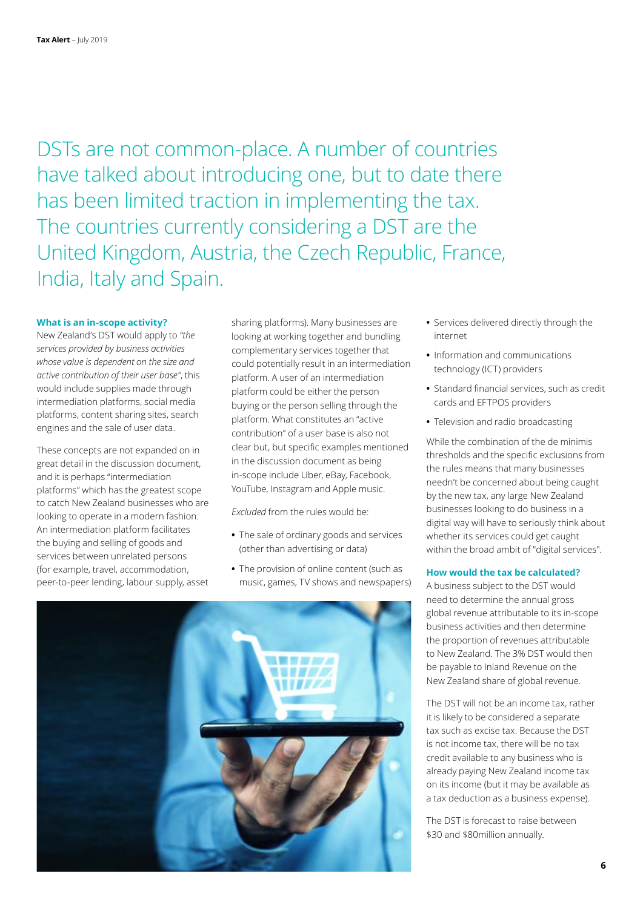DSTs are not common-place. A number of countries have talked about introducing one, but to date there has been limited traction in implementing the tax. The countries currently considering a DST are the United Kingdom, Austria, the Czech Republic, France, India, Italy and Spain.

### **What is an in-scope activity?**

New Zealand's DST would apply to *"the services provided by business activities whose value is dependent on the size and active contribution of their user base"*, this would include supplies made through intermediation platforms, social media platforms, content sharing sites, search engines and the sale of user data.

These concepts are not expanded on in great detail in the discussion document, and it is perhaps "intermediation platforms" which has the greatest scope to catch New Zealand businesses who are looking to operate in a modern fashion. An intermediation platform facilitates the buying and selling of goods and services between unrelated persons (for example, travel, accommodation, peer-to-peer lending, labour supply, asset

sharing platforms). Many businesses are looking at working together and bundling complementary services together that could potentially result in an intermediation platform. A user of an intermediation platform could be either the person buying or the person selling through the platform. What constitutes an "active contribution" of a user base is also not clear but, but specific examples mentioned in the discussion document as being in-scope include Uber, eBay, Facebook, YouTube, Instagram and Apple music.

*Excluded* from the rules would be:

- **•** The sale of ordinary goods and services (other than advertising or data)
- **•** The provision of online content (such as music, games, TV shows and newspapers)
- **•** Services delivered directly through the internet
- **•** Information and communications technology (ICT) providers
- **•** Standard financial services, such as credit cards and EFTPOS providers
- **•** Television and radio broadcasting

While the combination of the de minimis thresholds and the specific exclusions from the rules means that many businesses needn't be concerned about being caught by the new tax, any large New Zealand businesses looking to do business in a digital way will have to seriously think about whether its services could get caught within the broad ambit of "digital services".

### **How would the tax be calculated?**

A business subject to the DST would need to determine the annual gross global revenue attributable to its in-scope business activities and then determine the proportion of revenues attributable to New Zealand. The 3% DST would then be payable to Inland Revenue on the New Zealand share of global revenue.

The DST will not be an income tax, rather it is likely to be considered a separate tax such as excise tax. Because the DST is not income tax, there will be no tax credit available to any business who is already paying New Zealand income tax on its income (but it may be available as a tax deduction as a business expense).

The DST is forecast to raise between \$30 and \$80million annually.

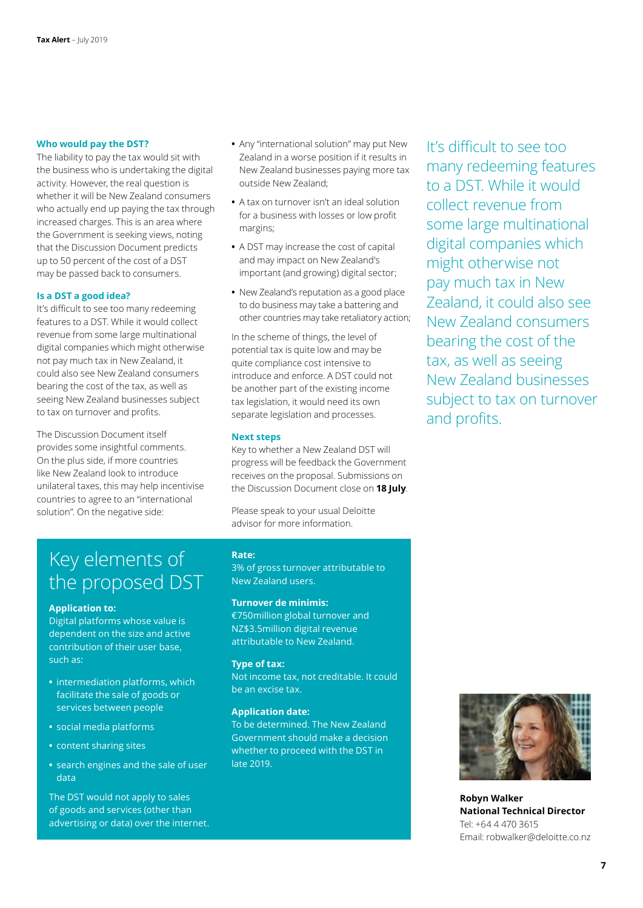### **Who would pay the DST?**

The liability to pay the tax would sit with the business who is undertaking the digital activity. However, the real question is whether it will be New Zealand consumers who actually end up paying the tax through increased charges. This is an area where the Government is seeking views, noting that the Discussion Document predicts up to 50 percent of the cost of a DST may be passed back to consumers.

### **Is a DST a good idea?**

It's difficult to see too many redeeming features to a DST. While it would collect revenue from some large multinational digital companies which might otherwise not pay much tax in New Zealand, it could also see New Zealand consumers bearing the cost of the tax, as well as seeing New Zealand businesses subject to tax on turnover and profits.

The Discussion Document itself provides some insightful comments. On the plus side, if more countries like New Zealand look to introduce unilateral taxes, this may help incentivise countries to agree to an "international solution". On the negative side:

- **•** Any "international solution" may put New Zealand in a worse position if it results in New Zealand businesses paying more tax outside New Zealand;
- **•** A tax on turnover isn't an ideal solution for a business with losses or low profit margins;
- **•** A DST may increase the cost of capital and may impact on New Zealand's important (and growing) digital sector;
- **•** New Zealand's reputation as a good place to do business may take a battering and other countries may take retaliatory action;

In the scheme of things, the level of potential tax is quite low and may be quite compliance cost intensive to introduce and enforce. A DST could not be another part of the existing income tax legislation, it would need its own separate legislation and processes.

### **Next steps**

Key to whether a New Zealand DST will progress will be feedback the Government receives on the proposal. Submissions on the Discussion Document close on **18 July**.

Please speak to your usual Deloitte advisor for more information.

### Key elements of the proposed DST

### **Application to:**

Digital platforms whose value is dependent on the size and active contribution of their user base, such as:

- **•** intermediation platforms, which facilitate the sale of goods or services between people
- **•** social media platforms
- **•** content sharing sites
- **•** search engines and the sale of user data

The DST would not apply to sales of goods and services (other than advertising or data) over the internet.

### **Rate:**

3% of gross turnover attributable to New Zealand users.

#### **Turnover de minimis:**

€750million global turnover and NZ\$3.5million digital revenue attributable to New Zealand.

### **Type of tax:**

Not income tax, not creditable. It could be an excise tax.

#### **Application date:**

To be determined. The New Zealand Government should make a decision whether to proceed with the DST in late 2019.

It's difficult to see too many redeeming features to a DST. While it would collect revenue from some large multinational digital companies which might otherwise not pay much tax in New Zealand, it could also see New Zealand consumers bearing the cost of the tax, as well as seeing New Zealand businesses subject to tax on turnover and profits.



**Robyn Walker National Technical Director** Tel: +64 4 470 3615 Email: robwalker@deloitte.co.nz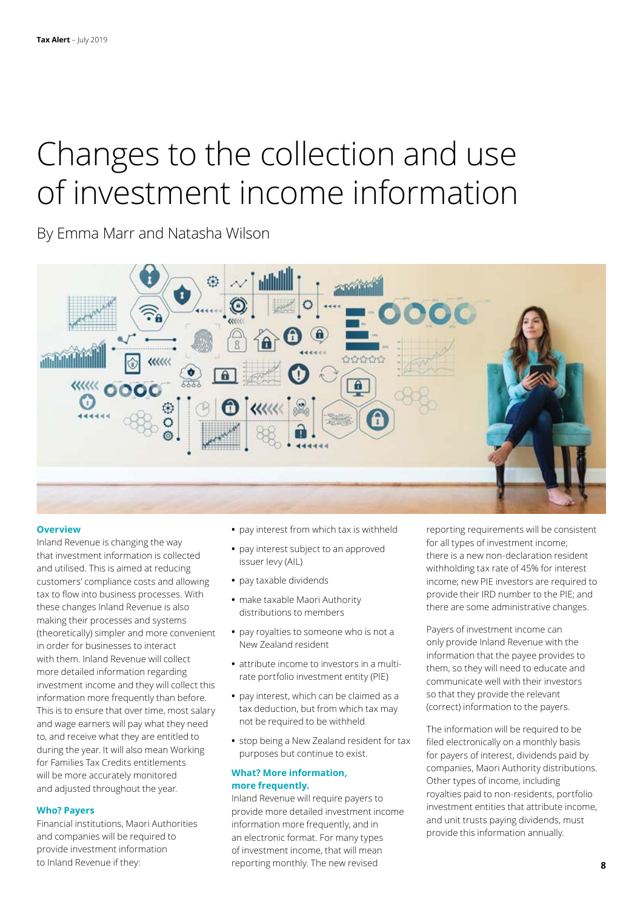## Changes to the collection and use of investment income information

By Emma Marr and Natasha Wilson



### **Overview**

**Who? Payers** 

Inland Revenue is changing the way that investment information is collected and utilised. This is aimed at reducing customers' compliance costs and allowing tax to flow into business processes. With these changes Inland Revenue is also making their processes and systems (theoretically) simpler and more convenient in order for businesses to interact with them. Inland Revenue will collect more detailed information regarding investment income and they will collect this information more frequently than before. This is to ensure that over time, most salary and wage earners will pay what they need to, and receive what they are entitled to during the year. It will also mean Working for Families Tax Credits entitlements will be more accurately monitored and adjusted throughout the year.

Financial institutions, Maori Authorities and companies will be required to provide investment information to Inland Revenue if they:

### **•** pay interest from which tax is withheld

- **•** pay interest subject to an approved issuer levy (AIL)
- **•** pay taxable dividends
- **•** make taxable Maori Authority distributions to members
- **•** pay royalties to someone who is not a New Zealand resident
- **•** attribute income to investors in a multirate portfolio investment entity (PIE)
- **•** pay interest, which can be claimed as a tax deduction, but from which tax may not be required to be withheld
- **•** stop being a New Zealand resident for tax purposes but continue to exist.

### **What? More information, more frequently.**

Inland Revenue will require payers to provide more detailed investment income information more frequently, and in an electronic format. For many types of investment income, that will mean reporting monthly. The new revised

reporting requirements will be consistent for all types of investment income; there is a new non-declaration resident withholding tax rate of 45% for interest income; new PIE investors are required to provide their IRD number to the PIE; and there are some administrative changes.

Payers of investment income can only provide Inland Revenue with the information that the payee provides to them, so they will need to educate and communicate well with their investors so that they provide the relevant (correct) information to the payers.

The information will be required to be filed electronically on a monthly basis for payers of interest, dividends paid by companies, Maori Authority distributions. Other types of income, including royalties paid to non-residents, portfolio investment entities that attribute income, and unit trusts paying dividends, must provide this information annually.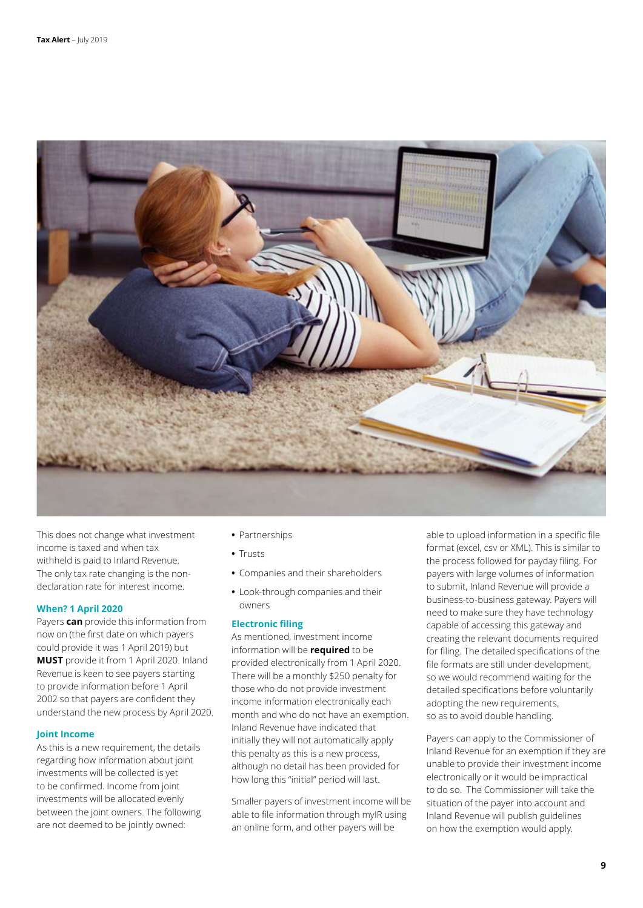

This does not change what investment income is taxed and when tax withheld is paid to Inland Revenue. The only tax rate changing is the nondeclaration rate for interest income.

### **When? 1 April 2020**

Payers **can** provide this information from now on (the first date on which payers could provide it was 1 April 2019) but **MUST** provide it from 1 April 2020. Inland Revenue is keen to see payers starting to provide information before 1 April 2002 so that payers are confident they understand the new process by April 2020.

### **Joint Income**

As this is a new requirement, the details regarding how information about joint investments will be collected is yet to be confirmed. Income from joint investments will be allocated evenly between the joint owners. The following are not deemed to be jointly owned:

- **•** Partnerships
- **•** Trusts
- **•** Companies and their shareholders
- **•** Look-through companies and their owners

### **Electronic filing**

As mentioned, investment income information will be **required** to be provided electronically from 1 April 2020. There will be a monthly \$250 penalty for those who do not provide investment income information electronically each month and who do not have an exemption. Inland Revenue have indicated that initially they will not automatically apply this penalty as this is a new process, although no detail has been provided for how long this "initial" period will last.

Smaller payers of investment income will be able to file information through myIR using an online form, and other payers will be

able to upload information in a specific file format (excel, csv or XML). This is similar to the process followed for payday filing. For payers with large volumes of information to submit, Inland Revenue will provide a business-to-business gateway. Payers will need to make sure they have technology capable of accessing this gateway and creating the relevant documents required for filing. The detailed specifications of the file formats are still under development, so we would recommend waiting for the detailed specifications before voluntarily adopting the new requirements, so as to avoid double handling.

Payers can apply to the Commissioner of Inland Revenue for an exemption if they are unable to provide their investment income electronically or it would be impractical to do so. The Commissioner will take the situation of the payer into account and Inland Revenue will publish guidelines on how the exemption would apply.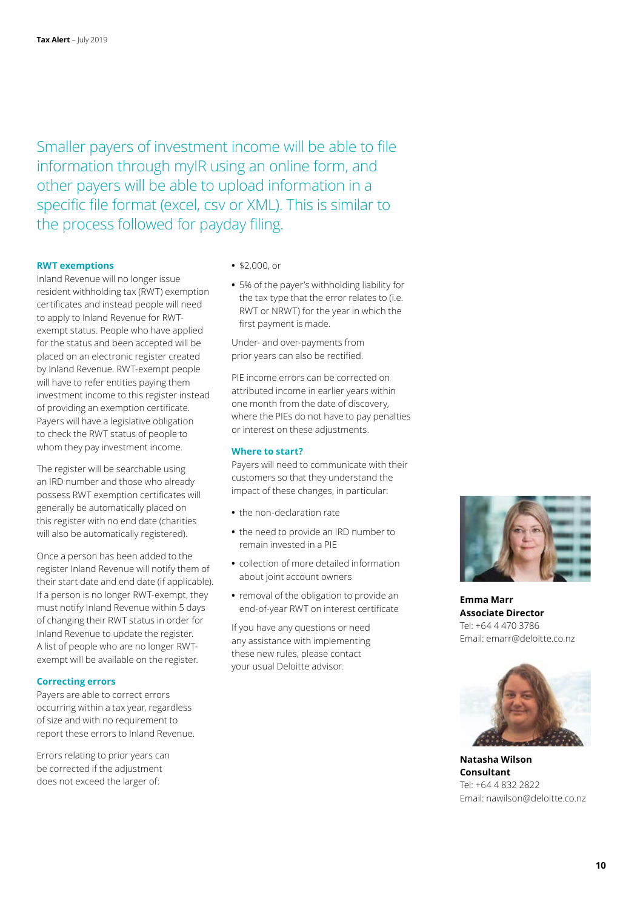Smaller payers of investment income will be able to file information through myIR using an online form, and other payers will be able to upload information in a specific file format (excel, csv or XML). This is similar to the process followed for payday filing.

### **RWT exemptions**

Inland Revenue will no longer issue resident withholding tax (RWT) exemption certificates and instead people will need to apply to Inland Revenue for RWTexempt status. People who have applied for the status and been accepted will be placed on an electronic register created by Inland Revenue. RWT-exempt people will have to refer entities paying them investment income to this register instead of providing an exemption certificate. Payers will have a legislative obligation to check the RWT status of people to whom they pay investment income.

The register will be searchable using an IRD number and those who already possess RWT exemption certificates will generally be automatically placed on this register with no end date (charities will also be automatically registered).

Once a person has been added to the register Inland Revenue will notify them of their start date and end date (if applicable). If a person is no longer RWT-exempt, they must notify Inland Revenue within 5 days of changing their RWT status in order for Inland Revenue to update the register. A list of people who are no longer RWTexempt will be available on the register.

### **Correcting errors**

Payers are able to correct errors occurring within a tax year, regardless of size and with no requirement to report these errors to Inland Revenue.

Errors relating to prior years can be corrected if the adjustment does not exceed the larger of:

- **•** \$2,000, or
- **•** 5% of the payer's withholding liability for the tax type that the error relates to (i.e. RWT or NRWT) for the year in which the first payment is made.

Under- and over-payments from prior years can also be rectified.

PIE income errors can be corrected on attributed income in earlier years within one month from the date of discovery, where the PIEs do not have to pay penalties or interest on these adjustments.

### **Where to start?**

Payers will need to communicate with their customers so that they understand the impact of these changes, in particular:

- **•** the non-declaration rate
- **•** the need to provide an IRD number to remain invested in a PIE
- **•** collection of more detailed information about joint account owners
- **•** removal of the obligation to provide an end-of-year RWT on interest certificate

If you have any questions or need any assistance with implementing these new rules, please contact your usual Deloitte advisor.



**Emma Marr Associate Director** Tel: +64 4 470 3786 Email: emarr@deloitte.co.nz



**Natasha Wilson Consultant** Tel: +64 4 832 2822 Email: nawilson@deloitte.co.nz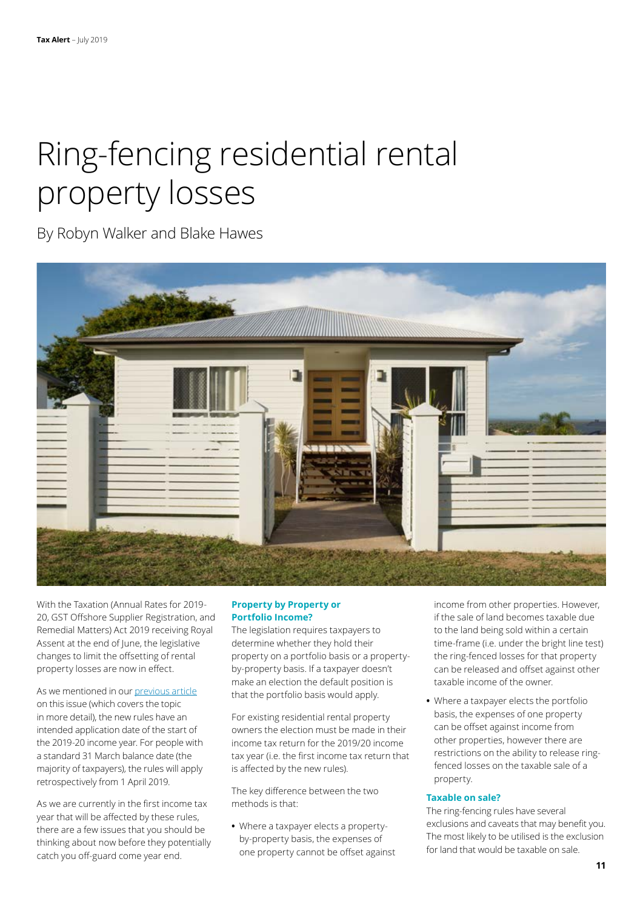# Ring-fencing residential rental property losses

By Robyn Walker and Blake Hawes



With the Taxation (Annual Rates for 2019- 20, GST Offshore Supplier Registration, and Remedial Matters) Act 2019 receiving Royal Assent at the end of June, the legislative changes to limit the offsetting of rental property losses are now in effect.

As we mentioned in our [previous article](https://www2.deloitte.com/nz/en/pages/tax-alerts/articles/tax-changes-residential-rental-owners.html) on this issue (which covers the topic in more detail), the new rules have an intended application date of the start of the 2019-20 income year. For people with a standard 31 March balance date (the majority of taxpayers), the rules will apply retrospectively from 1 April 2019.

As we are currently in the first income tax year that will be affected by these rules, there are a few issues that you should be thinking about now before they potentially catch you off-guard come year end.

### **Property by Property or Portfolio Income?**

The legislation requires taxpayers to determine whether they hold their property on a portfolio basis or a propertyby-property basis. If a taxpayer doesn't make an election the default position is that the portfolio basis would apply.

For existing residential rental property owners the election must be made in their income tax return for the 2019/20 income tax year (i.e. the first income tax return that is affected by the new rules).

The key difference between the two methods is that:

**•** Where a taxpayer elects a propertyby-property basis, the expenses of one property cannot be offset against income from other properties. However, if the sale of land becomes taxable due to the land being sold within a certain time-frame (i.e. under the bright line test) the ring-fenced losses for that property can be released and offset against other taxable income of the owner.

**•** Where a taxpayer elects the portfolio basis, the expenses of one property can be offset against income from other properties, however there are restrictions on the ability to release ringfenced losses on the taxable sale of a property.

### **Taxable on sale?**

The ring-fencing rules have several exclusions and caveats that may benefit you. The most likely to be utilised is the exclusion for land that would be taxable on sale.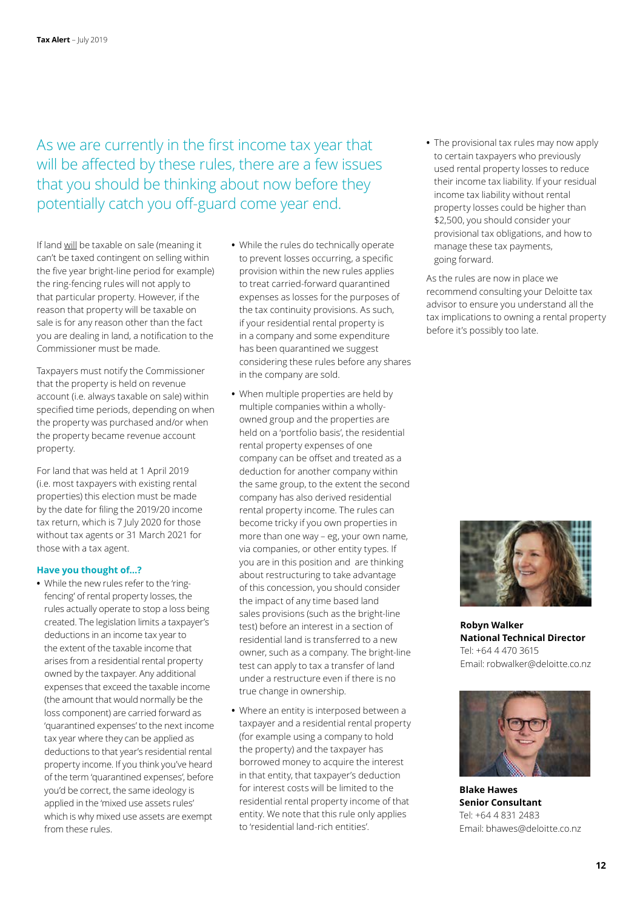As we are currently in the first income tax year that will be affected by these rules, there are a few issues that you should be thinking about now before they potentially catch you off-guard come year end.

If land will be taxable on sale (meaning it can't be taxed contingent on selling within the five year bright-line period for example) the ring-fencing rules will not apply to that particular property. However, if the reason that property will be taxable on sale is for any reason other than the fact you are dealing in land, a notification to the Commissioner must be made.

Taxpayers must notify the Commissioner that the property is held on revenue account (i.e. always taxable on sale) within specified time periods, depending on when the property was purchased and/or when the property became revenue account property.

For land that was held at 1 April 2019 (i.e. most taxpayers with existing rental properties) this election must be made by the date for filing the 2019/20 income tax return, which is 7 July 2020 for those without tax agents or 31 March 2021 for those with a tax agent.

### **Have you thought of…?**

**•** While the new rules refer to the 'ringfencing' of rental property losses, the rules actually operate to stop a loss being created. The legislation limits a taxpayer's deductions in an income tax year to the extent of the taxable income that arises from a residential rental property owned by the taxpayer. Any additional expenses that exceed the taxable income (the amount that would normally be the loss component) are carried forward as 'quarantined expenses' to the next income tax year where they can be applied as deductions to that year's residential rental property income. If you think you've heard of the term 'quarantined expenses', before you'd be correct, the same ideology is applied in the 'mixed use assets rules' which is why mixed use assets are exempt from these rules.

- **•** While the rules do technically operate to prevent losses occurring, a specific provision within the new rules applies to treat carried-forward quarantined expenses as losses for the purposes of the tax continuity provisions. As such, if your residential rental property is in a company and some expenditure has been quarantined we suggest considering these rules before any shares in the company are sold.
- **•** When multiple properties are held by multiple companies within a whollyowned group and the properties are held on a 'portfolio basis', the residential rental property expenses of one company can be offset and treated as a deduction for another company within the same group, to the extent the second company has also derived residential rental property income. The rules can become tricky if you own properties in more than one way – eg, your own name, via companies, or other entity types. If you are in this position and are thinking about restructuring to take advantage of this concession, you should consider the impact of any time based land sales provisions (such as the bright-line test) before an interest in a section of residential land is transferred to a new owner, such as a company. The bright-line test can apply to tax a transfer of land under a restructure even if there is no true change in ownership.
- **•** Where an entity is interposed between a taxpayer and a residential rental property (for example using a company to hold the property) and the taxpayer has borrowed money to acquire the interest in that entity, that taxpayer's deduction for interest costs will be limited to the residential rental property income of that entity. We note that this rule only applies to 'residential land-rich entities'.

**•** The provisional tax rules may now apply to certain taxpayers who previously used rental property losses to reduce their income tax liability. If your residual income tax liability without rental property losses could be higher than \$2,500, you should consider your provisional tax obligations, and how to manage these tax payments, going forward.

As the rules are now in place we recommend consulting your Deloitte tax advisor to ensure you understand all the tax implications to owning a rental property before it's possibly too late.



**Robyn Walker National Technical Director** Tel: +64 4 470 3615 Email: robwalker@deloitte.co.nz



**Blake Hawes Senior Consultant** Tel: +64 4 831 2483 Email: bhawes@deloitte.co.nz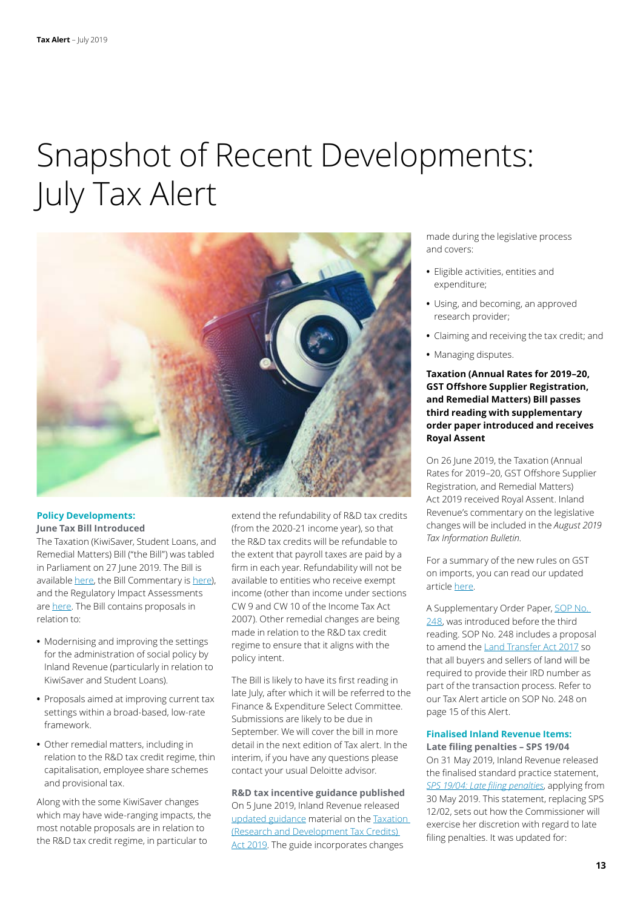### Snapshot of Recent Developments: July Tax Alert



### **Policy Developments: June Tax Bill Introduced**

The Taxation (KiwiSaver, Student Loans, and Remedial Matters) Bill ("the Bill") was tabled in Parliament on 27 June 2019. The Bill is available [here,](http://taxpolicy.ird.govt.nz/publications/2019-ria-ksslrm-bill/overview) the Bill Commentary is [here\)](http://taxpolicy.ird.govt.nz/publications/2019-commentary-ksslrm-bill/overview), and the Regulatory Impact Assessments are [here.](http://taxpolicy.ird.govt.nz/publications/2019-ria-ksslrm-bill/overview) The Bill contains proposals in relation to:

- **•** Modernising and improving the settings for the administration of social policy by Inland Revenue (particularly in relation to KiwiSaver and Student Loans).
- **•** Proposals aimed at improving current tax settings within a broad-based, low-rate framework.
- **•** Other remedial matters, including in relation to the R&D tax credit regime, thin capitalisation, employee share schemes and provisional tax.

Along with the some KiwiSaver changes which may have wide-ranging impacts, the most notable proposals are in relation to the R&D tax credit regime, in particular to

extend the refundability of R&D tax credits (from the 2020-21 income year), so that the R&D tax credits will be refundable to the extent that payroll taxes are paid by a firm in each year. Refundability will not be available to entities who receive exempt income (other than income under sections CW 9 and CW 10 of the Income Tax Act 2007). Other remedial changes are being made in relation to the R&D tax credit regime to ensure that it aligns with the policy intent.

The Bill is likely to have its first reading in late July, after which it will be referred to the Finance & Expenditure Select Committee. Submissions are likely to be due in September. We will cover the bill in more detail in the next edition of Tax alert. In the interim, if you have any questions please contact your usual Deloitte advisor.

**R&D tax incentive guidance published** On 5 June 2019, Inland Revenue released [updated guidance](https://www.classic.ird.govt.nz/resources/4/9/49b834b4-91c9-4d75-9c6e-0e811d6ad917/research-and-development-tax-credit-guidance.pdf) material on the [Taxation](http://www.legislation.govt.nz/act/public/2019/0015/latest/LMS110236.html)  [\(Research and Development Tax Credits\)](http://www.legislation.govt.nz/act/public/2019/0015/latest/LMS110236.html)  [Act 2019](http://www.legislation.govt.nz/act/public/2019/0015/latest/LMS110236.html). The guide incorporates changes

made during the legislative process and covers:

- **•** Eligible activities, entities and expenditure;
- **•** Using, and becoming, an approved research provider;
- **•** Claiming and receiving the tax credit; and
- **•** Managing disputes.

### **Taxation (Annual Rates for 2019–20, GST Offshore Supplier Registration, and Remedial Matters) Bill passes third reading with supplementary order paper introduced and receives Royal Assent**

On 26 June 2019, the Taxation (Annual Rates for 2019–20, GST Offshore Supplier Registration, and Remedial Matters) Act 2019 received Royal Assent. Inland Revenue's commentary on the legislative changes will be included in the *August 2019 Tax Information Bulletin*.

For a summary of the new rules on GST on imports, you can read our updated article [here](https://www.taxathand.com/article/11850/New-Zealand/2019/GST-rules-for-nonresident-retailers-selling-to-New-Zealand-consumers-enacted).

A Supplementary Order Paper, [SOP No.](http://www.legislation.govt.nz/sop/government/2019/0248/latest/LMS213953.html)  [248,](http://www.legislation.govt.nz/sop/government/2019/0248/latest/LMS213953.html) was introduced before the third reading. SOP No. 248 includes a proposal to amend the [Land Transfer Act 2017](http://www.legislation.govt.nz/act/public/2017/0030/latest/DLM6731032.html?src=qs) so that all buyers and sellers of land will be required to provide their IRD number as part of the transaction process. Refer to our Tax Alert article on SOP No. 248 on page 15 of this Alert.

### **Finalised Inland Revenue Items: Late filing penalties – SPS 19/04**

On 31 May 2019, Inland Revenue released the finalised standard practice statement, *[SPS 19/04: Late filing penalties](https://www.classic.ird.govt.nz/technical-tax/standard-practice/returns-debt/sps-1904-late-filing-penalties.html)*, applying from 30 May 2019. This statement, replacing SPS 12/02, sets out how the Commissioner will exercise her discretion with regard to late filing penalties. It was updated for: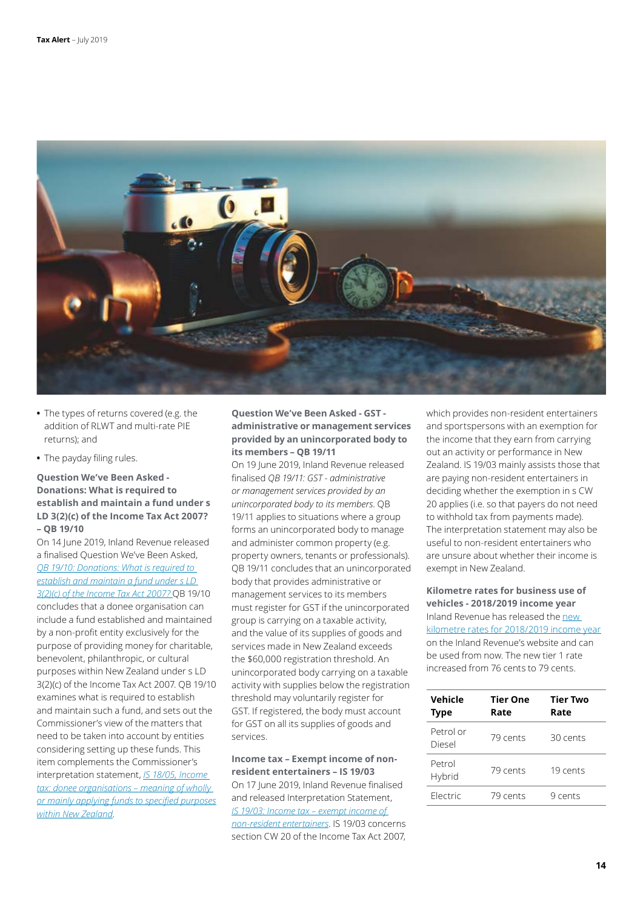

- **•** The types of returns covered (e.g. the addition of RLWT and multi-rate PIE returns); and
- **•** The payday filing rules.

### **Question We've Been Asked - Donations: What is required to establish and maintain a fund under s LD 3(2)(c) of the Income Tax Act 2007? – QB 19/10**

On 14 June 2019, Inland Revenue released a finalised Question We've Been Asked, *[QB 19/10: Donations: What is required to](https://www.classic.ird.govt.nz/resources/2/b/2b32c885-70cc-44ee-a541-292466efefe3/QB+19+10.pdf)  [establish and maintain a fund under s LD](https://www.classic.ird.govt.nz/resources/2/b/2b32c885-70cc-44ee-a541-292466efefe3/QB+19+10.pdf)  [3\(2\)\(c\) of the Income Tax Act 2007?](https://www.classic.ird.govt.nz/resources/2/b/2b32c885-70cc-44ee-a541-292466efefe3/QB+19+10.pdf)* QB 19/10 concludes that a donee organisation can include a fund established and maintained by a non-profit entity exclusively for the purpose of providing money for charitable, benevolent, philanthropic, or cultural purposes within New Zealand under s LD 3(2)(c) of the Income Tax Act 2007. QB 19/10 examines what is required to establish and maintain such a fund, and sets out the Commissioner's view of the matters that need to be taken into account by entities considering setting up these funds. This item complements the Commissioner's interpretation statement, *[IS 18/05, Income](https://www.classic.ird.govt.nz/resources/b/8/b8964cee-399d-43bb-a859-3091ae09923a/is18-05.pdf)  [tax: donee organisations – meaning of wholly](https://www.classic.ird.govt.nz/resources/b/8/b8964cee-399d-43bb-a859-3091ae09923a/is18-05.pdf)  [or mainly applying funds to specified purposes](https://www.classic.ird.govt.nz/resources/b/8/b8964cee-399d-43bb-a859-3091ae09923a/is18-05.pdf) [within New Zealand](https://www.classic.ird.govt.nz/resources/b/8/b8964cee-399d-43bb-a859-3091ae09923a/is18-05.pdf)*.

### **Question We've Been Asked - GST administrative or management services provided by an unincorporated body to its members – QB 19/11**

On 19 June 2019, Inland Revenue released finalised *QB 19/11: GST - administrative or management services provided by an unincorporated body to its members*. QB 19/11 applies to situations where a group forms an unincorporated body to manage and administer common property (e.g. property owners, tenants or professionals). QB 19/11 concludes that an unincorporated body that provides administrative or management services to its members must register for GST if the unincorporated group is carrying on a taxable activity, and the value of its supplies of goods and services made in New Zealand exceeds the \$60,000 registration threshold. An unincorporated body carrying on a taxable activity with supplies below the registration threshold may voluntarily register for GST. If registered, the body must account for GST on all its supplies of goods and services.

**Income tax – Exempt income of nonresident entertainers – IS 19/03** On 17 June 2019, Inland Revenue finalised and released Interpretation Statement, *[IS 19/03: Income tax – exempt income of](https://www.classic.ird.govt.nz/resources/4/1/418f1932-9836-4e6b-a8ad-15263ba2fe97/is-1903.pdf)  [non-resident entertainers](https://www.classic.ird.govt.nz/resources/4/1/418f1932-9836-4e6b-a8ad-15263ba2fe97/is-1903.pdf)*. IS 19/03 concerns section CW 20 of the Income Tax Act 2007, which provides non-resident entertainers and sportspersons with an exemption for the income that they earn from carrying out an activity or performance in New Zealand. IS 19/03 mainly assists those that are paying non-resident entertainers in deciding whether the exemption in s CW 20 applies (i.e. so that payers do not need to withhold tax from payments made). The interpretation statement may also be useful to non-resident entertainers who are unsure about whether their income is exempt in New Zealand.

**Kilometre rates for business use of vehicles - 2018/2019 income year**  Inland Revenue has released the [new](https://www.ird.govt.nz/topics/income-tax/day-to-day-expenses/vehicle-running-costs)  [kilometre rates for 2018/2019 income year](https://www.ird.govt.nz/topics/income-tax/day-to-day-expenses/vehicle-running-costs) on the Inland Revenue's website and can be used from now. The new tier 1 rate increased from 76 cents to 79 cents.

| Vehicle<br><b>Type</b> | <b>Tier One</b><br>Rate | <b>Tier Two</b><br>Rate |
|------------------------|-------------------------|-------------------------|
| Petrol or<br>Diesel    | 79 cents                | 30 cents                |
| Petrol<br>Hybrid       | 79 cents                | 19 cents                |
| Flectric               | 79 cents                | 9 cents                 |
|                        |                         |                         |